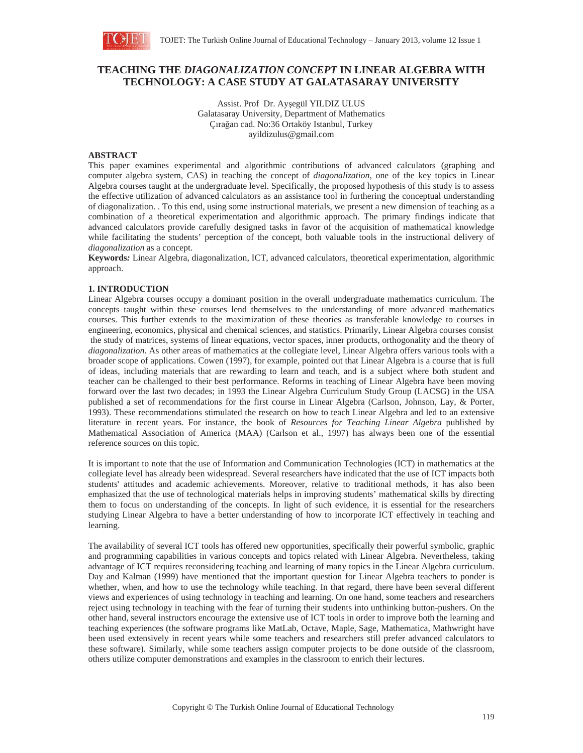

# **TEACHING THE** *DIAGONALIZATION CONCEPT* **IN LINEAR ALGEBRA WITH TECHNOLOGY: A CASE STUDY AT GALATASARAY UNIVERSITY**

Assist. Prof Dr. Ayşegül YILDIZ ULUS Galatasaray University, Department of Mathematics Çırağan cad. No:36 Ortaköy Istanbul, Turkey ayildizulus@gmail.com

## **ABSTRACT**

This paper examines experimental and algorithmic contributions of advanced calculators (graphing and computer algebra system, CAS) in teaching the concept of *diagonalization*, one of the key topics in Linear Algebra courses taught at the undergraduate level. Specifically, the proposed hypothesis of this study is to assess the effective utilization of advanced calculators as an assistance tool in furthering the conceptual understanding of diagonalization. . To this end, using some instructional materials, we present a new dimension of teaching as a combination of a theoretical experimentation and algorithmic approach. The primary findings indicate that advanced calculators provide carefully designed tasks in favor of the acquisition of mathematical knowledge while facilitating the students' perception of the concept, both valuable tools in the instructional delivery of *diagonalization* as a concept.

**Keywords***:* Linear Algebra, diagonalization, ICT, advanced calculators, theoretical experimentation, algorithmic approach.

#### **1. INTRODUCTION**

Linear Algebra courses occupy a dominant position in the overall undergraduate mathematics curriculum. The concepts taught within these courses lend themselves to the understanding of more advanced mathematics courses. This further extends to the maximization of these theories as transferable knowledge to courses in engineering, economics, physical and chemical sciences, and statistics. Primarily, Linear Algebra courses consist the study of matrices, systems of linear equations, vector spaces, inner products, orthogonality and the theory of *diagonalization*. As other areas of mathematics at the collegiate level, Linear Algebra offers various tools with a broader scope of applications. Cowen (1997), for example, pointed out that Linear Algebra is a course that is full of ideas, including materials that are rewarding to learn and teach, and is a subject where both student and teacher can be challenged to their best performance. Reforms in teaching of Linear Algebra have been moving forward over the last two decades; in 1993 the Linear Algebra Curriculum Study Group (LACSG) in the USA published a set of recommendations for the first course in Linear Algebra (Carlson, Johnson, Lay, & Porter, 1993). These recommendations stimulated the research on how to teach Linear Algebra and led to an extensive literature in recent years. For instance, the book of *Resources for Teaching Linear Algebra* published by Mathematical Association of America (MAA) (Carlson et al., 1997) has always been one of the essential reference sources on this topic.

It is important to note that the use of Information and Communication Technologies (ICT) in mathematics at the collegiate level has already been widespread. Several researchers have indicated that the use of ICT impacts both students' attitudes and academic achievements. Moreover, relative to traditional methods, it has also been emphasized that the use of technological materials helps in improving students' mathematical skills by directing them to focus on understanding of the concepts. In light of such evidence, it is essential for the researchers studying Linear Algebra to have a better understanding of how to incorporate ICT effectively in teaching and learning.

The availability of several ICT tools has offered new opportunities, specifically their powerful symbolic, graphic and programming capabilities in various concepts and topics related with Linear Algebra. Nevertheless, taking advantage of ICT requires reconsidering teaching and learning of many topics in the Linear Algebra curriculum. Day and Kalman (1999) have mentioned that the important question for Linear Algebra teachers to ponder is whether, when, and how to use the technology while teaching. In that regard, there have been several different views and experiences of using technology in teaching and learning. On one hand, some teachers and researchers reject using technology in teaching with the fear of turning their students into unthinking button-pushers. On the other hand, several instructors encourage the extensive use of ICT tools in order to improve both the learning and teaching experiences (the software programs like MatLab, Octave, Maple, Sage, Mathematica, Mathwright have been used extensively in recent years while some teachers and researchers still prefer advanced calculators to these software). Similarly, while some teachers assign computer projects to be done outside of the classroom, others utilize computer demonstrations and examples in the classroom to enrich their lectures.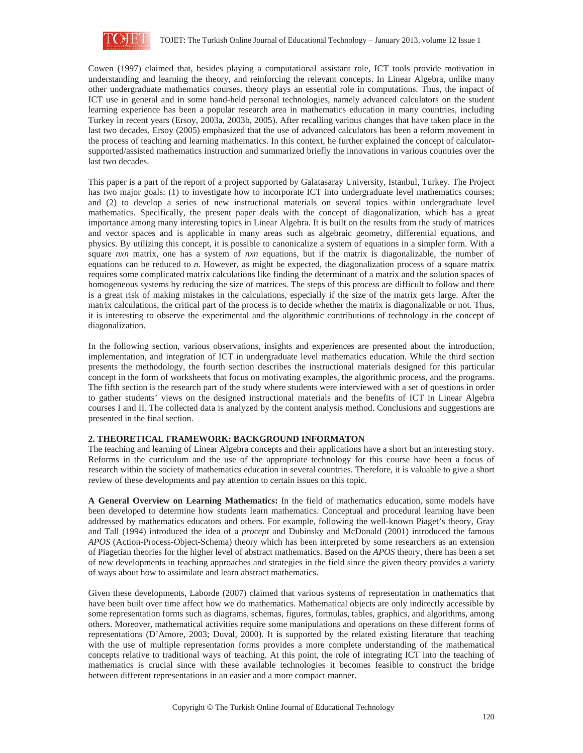

Cowen (1997) claimed that, besides playing a computational assistant role, ICT tools provide motivation in understanding and learning the theory, and reinforcing the relevant concepts. In Linear Algebra, unlike many other undergraduate mathematics courses, theory plays an essential role in computations. Thus, the impact of ICT use in general and in some hand-held personal technologies, namely advanced calculators on the student learning experience has been a popular research area in mathematics education in many countries, including Turkey in recent years (Ersoy, 2003a, 2003b, 2005). After recalling various changes that have taken place in the last two decades, Ersoy (2005) emphasized that the use of advanced calculators has been a reform movement in the process of teaching and learning mathematics. In this context, he further explained the concept of calculatorsupported/assisted mathematics instruction and summarized briefly the innovations in various countries over the last two decades.

This paper is a part of the report of a project supported by Galatasaray University, Istanbul, Turkey. The Project has two major goals: (1) to investigate how to incorporate ICT into undergraduate level mathematics courses; and (2) to develop a series of new instructional materials on several topics within undergraduate level mathematics. Specifically, the present paper deals with the concept of diagonalization, which has a great importance among many interesting topics in Linear Algebra. It is built on the results from the study of matrices and vector spaces and is applicable in many areas such as algebraic geometry, differential equations, and physics. By utilizing this concept, it is possible to canonicalize a system of equations in a simpler form. With a square *nxn* matrix, one has a system of *nxn* equations, but if the matrix is diagonalizable, the number of equations can be reduced to *n*. However, as might be expected, the diagonalization process of a square matrix requires some complicated matrix calculations like finding the determinant of a matrix and the solution spaces of homogeneous systems by reducing the size of matrices. The steps of this process are difficult to follow and there is a great risk of making mistakes in the calculations, especially if the size of the matrix gets large. After the matrix calculations, the critical part of the process is to decide whether the matrix is diagonalizable or not. Thus, it is interesting to observe the experimental and the algorithmic contributions of technology in the concept of diagonalization.

In the following section, various observations, insights and experiences are presented about the introduction, implementation, and integration of ICT in undergraduate level mathematics education. While the third section presents the methodology, the fourth section describes the instructional materials designed for this particular concept in the form of worksheets that focus on motivating examples, the algorithmic process, and the programs. The fifth section is the research part of the study where students were interviewed with a set of questions in order to gather students' views on the designed instructional materials and the benefits of ICT in Linear Algebra courses I and II. The collected data is analyzed by the content analysis method. Conclusions and suggestions are presented in the final section.

# **2. THEORETICAL FRAMEWORK: BACKGROUND INFORMATON**

The teaching and learning of Linear Algebra concepts and their applications have a short but an interesting story. Reforms in the curriculum and the use of the appropriate technology for this course have been a focus of research within the society of mathematics education in several countries. Therefore, it is valuable to give a short review of these developments and pay attention to certain issues on this topic.

**A General Overview on Learning Mathematics:** In the field of mathematics education, some models have been developed to determine how students learn mathematics. Conceptual and procedural learning have been addressed by mathematics educators and others. For example, following the well-known Piaget's theory, Gray and Tall (1994) introduced the idea of a *procept* and Dubinsky and McDonald (2001) introduced the famous *APOS* (Action-Process-Object-Schema) theory which has been interpreted by some researchers as an extension of Piagetian theories for the higher level of abstract mathematics. Based on the *APOS* theory, there has been a set of new developments in teaching approaches and strategies in the field since the given theory provides a variety of ways about how to assimilate and learn abstract mathematics.

Given these developments, Laborde (2007) claimed that various systems of representation in mathematics that have been built over time affect how we do mathematics. Mathematical objects are only indirectly accessible by some representation forms such as diagrams, schemas, figures, formulas, tables, graphics, and algorithms, among others. Moreover, mathematical activities require some manipulations and operations on these different forms of representations (D'Amore, 2003; Duval, 2000). It is supported by the related existing literature that teaching with the use of multiple representation forms provides a more complete understanding of the mathematical concepts relative to traditional ways of teaching. At this point, the role of integrating ICT into the teaching of mathematics is crucial since with these available technologies it becomes feasible to construct the bridge between different representations in an easier and a more compact manner.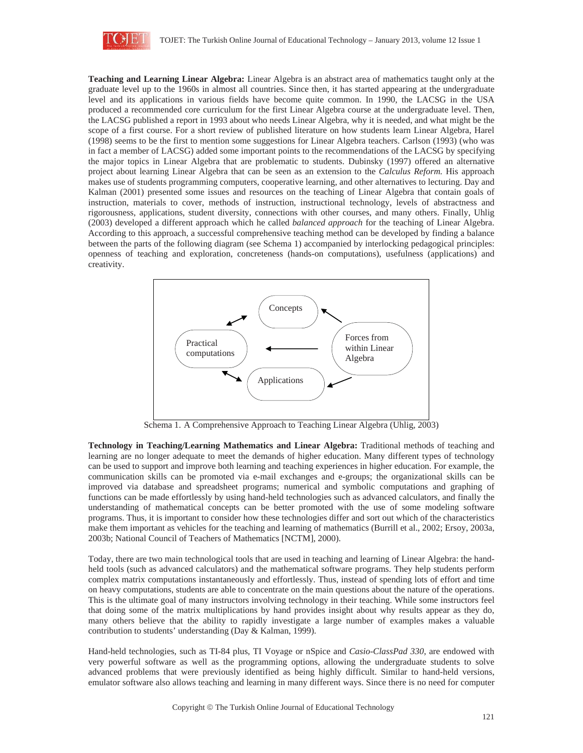

**Teaching and Learning Linear Algebra:** Linear Algebra is an abstract area of mathematics taught only at the graduate level up to the 1960s in almost all countries. Since then, it has started appearing at the undergraduate level and its applications in various fields have become quite common. In 1990, the LACSG in the USA produced a recommended core curriculum for the first Linear Algebra course at the undergraduate level. Then, the LACSG published a report in 1993 about who needs Linear Algebra, why it is needed, and what might be the scope of a first course. For a short review of published literature on how students learn Linear Algebra, Harel (1998) seems to be the first to mention some suggestions for Linear Algebra teachers. Carlson (1993) (who was in fact a member of LACSG) added some important points to the recommendations of the LACSG by specifying the major topics in Linear Algebra that are problematic to students. Dubinsky (1997) offered an alternative project about learning Linear Algebra that can be seen as an extension to the *Calculus Reform.* His approach makes use of students programming computers, cooperative learning, and other alternatives to lecturing. Day and Kalman (2001) presented some issues and resources on the teaching of Linear Algebra that contain goals of instruction, materials to cover, methods of instruction, instructional technology, levels of abstractness and rigorousness, applications, student diversity, connections with other courses, and many others. Finally, Uhlig (2003) developed a different approach which he called *balanced approach* for the teaching of Linear Algebra. According to this approach, a successful comprehensive teaching method can be developed by finding a balance between the parts of the following diagram (see Schema 1) accompanied by interlocking pedagogical principles: openness of teaching and exploration, concreteness (hands-on computations), usefulness (applications) and creativity.



Schema 1. A Comprehensive Approach to Teaching Linear Algebra (Uhlig, 2003)

**Technology in Teaching/Learning Mathematics and Linear Algebra:** Traditional methods of teaching and learning are no longer adequate to meet the demands of higher education. Many different types of technology can be used to support and improve both learning and teaching experiences in higher education. For example, the communication skills can be promoted via e-mail exchanges and e-groups; the organizational skills can be improved via database and spreadsheet programs; numerical and symbolic computations and graphing of functions can be made effortlessly by using hand-held technologies such as advanced calculators, and finally the understanding of mathematical concepts can be better promoted with the use of some modeling software programs. Thus, it is important to consider how these technologies differ and sort out which of the characteristics make them important as vehicles for the teaching and learning of mathematics (Burrill et al., 2002; Ersoy, 2003a, 2003b; National Council of Teachers of Mathematics [NCTM], 2000).

Today, there are two main technological tools that are used in teaching and learning of Linear Algebra: the handheld tools (such as advanced calculators) and the mathematical software programs. They help students perform complex matrix computations instantaneously and effortlessly. Thus, instead of spending lots of effort and time on heavy computations, students are able to concentrate on the main questions about the nature of the operations. This is the ultimate goal of many instructors involving technology in their teaching. While some instructors feel that doing some of the matrix multiplications by hand provides insight about why results appear as they do, many others believe that the ability to rapidly investigate a large number of examples makes a valuable contribution to students' understanding (Day & Kalman, 1999).

Hand-held technologies, such as TI-84 plus, TI Voyage or nSpice and *Casio-ClassPad 330*, are endowed with very powerful software as well as the programming options, allowing the undergraduate students to solve advanced problems that were previously identified as being highly difficult. Similar to hand-held versions, emulator software also allows teaching and learning in many different ways. Since there is no need for computer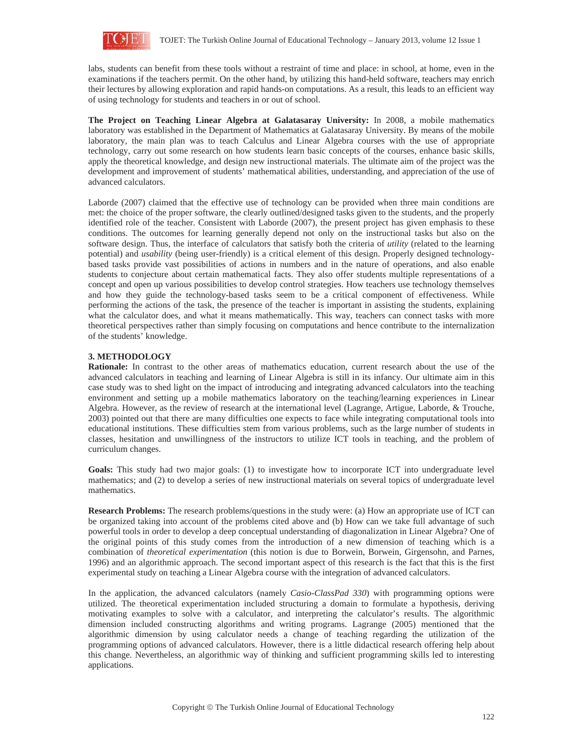

labs, students can benefit from these tools without a restraint of time and place: in school, at home, even in the examinations if the teachers permit. On the other hand, by utilizing this hand-held software, teachers may enrich their lectures by allowing exploration and rapid hands-on computations. As a result, this leads to an efficient way of using technology for students and teachers in or out of school.

**The Project on Teaching Linear Algebra at Galatasaray University:** In 2008, a mobile mathematics laboratory was established in the Department of Mathematics at Galatasaray University. By means of the mobile laboratory, the main plan was to teach Calculus and Linear Algebra courses with the use of appropriate technology, carry out some research on how students learn basic concepts of the courses, enhance basic skills, apply the theoretical knowledge, and design new instructional materials. The ultimate aim of the project was the development and improvement of students' mathematical abilities, understanding, and appreciation of the use of advanced calculators.

Laborde (2007) claimed that the effective use of technology can be provided when three main conditions are met: the choice of the proper software, the clearly outlined/designed tasks given to the students, and the properly identified role of the teacher. Consistent with Laborde (2007), the present project has given emphasis to these conditions. The outcomes for learning generally depend not only on the instructional tasks but also on the software design. Thus, the interface of calculators that satisfy both the criteria of *utility* (related to the learning potential) and *usability* (being user-friendly) is a critical element of this design. Properly designed technologybased tasks provide vast possibilities of actions in numbers and in the nature of operations, and also enable students to conjecture about certain mathematical facts. They also offer students multiple representations of a concept and open up various possibilities to develop control strategies. How teachers use technology themselves and how they guide the technology-based tasks seem to be a critical component of effectiveness. While performing the actions of the task, the presence of the teacher is important in assisting the students, explaining what the calculator does, and what it means mathematically. This way, teachers can connect tasks with more theoretical perspectives rather than simply focusing on computations and hence contribute to the internalization of the students' knowledge.

## **3. METHODOLOGY**

**Rationale:** In contrast to the other areas of mathematics education, current research about the use of the advanced calculators in teaching and learning of Linear Algebra is still in its infancy. Our ultimate aim in this case study was to shed light on the impact of introducing and integrating advanced calculators into the teaching environment and setting up a mobile mathematics laboratory on the teaching/learning experiences in Linear Algebra. However, as the review of research at the international level (Lagrange, Artigue, Laborde, & Trouche, 2003) pointed out that there are many difficulties one expects to face while integrating computational tools into educational institutions. These difficulties stem from various problems, such as the large number of students in classes, hesitation and unwillingness of the instructors to utilize ICT tools in teaching, and the problem of curriculum changes.

Goals: This study had two major goals: (1) to investigate how to incorporate ICT into undergraduate level mathematics; and (2) to develop a series of new instructional materials on several topics of undergraduate level mathematics.

**Research Problems:** The research problems/questions in the study were: (a) How an appropriate use of ICT can be organized taking into account of the problems cited above and (b) How can we take full advantage of such powerful tools in order to develop a deep conceptual understanding of diagonalization in Linear Algebra? One of the original points of this study comes from the introduction of a new dimension of teaching which is a combination of *theoretical experimentation* (this notion is due to Borwein, Borwein, Girgensohn, and Parnes, 1996) and an algorithmic approach. The second important aspect of this research is the fact that this is the first experimental study on teaching a Linear Algebra course with the integration of advanced calculators.

In the application, the advanced calculators (namely *Casio-ClassPad 330*) with programming options were utilized. The theoretical experimentation included structuring a domain to formulate a hypothesis, deriving motivating examples to solve with a calculator, and interpreting the calculator's results. The algorithmic dimension included constructing algorithms and writing programs. Lagrange (2005) mentioned that the algorithmic dimension by using calculator needs a change of teaching regarding the utilization of the programming options of advanced calculators. However, there is a little didactical research offering help about this change. Nevertheless, an algorithmic way of thinking and sufficient programming skills led to interesting applications.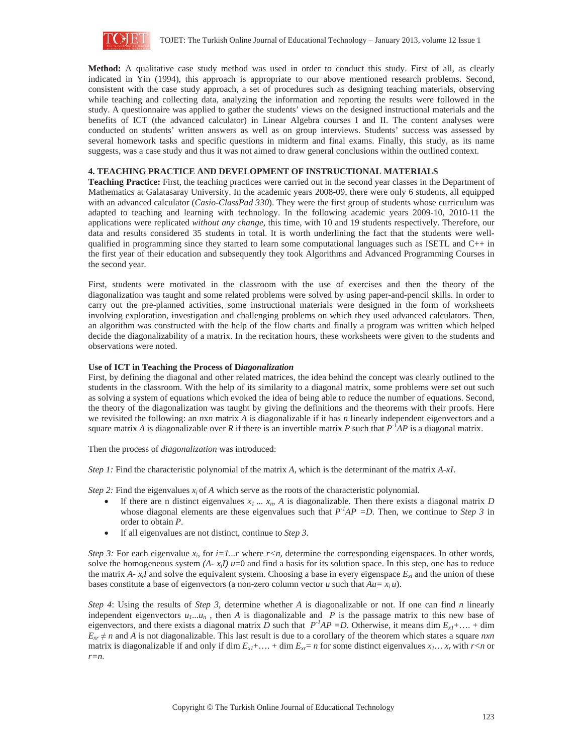

**Method:** A qualitative case study method was used in order to conduct this study. First of all, as clearly indicated in Yin (1994), this approach is appropriate to our above mentioned research problems. Second, consistent with the case study approach, a set of procedures such as designing teaching materials, observing while teaching and collecting data, analyzing the information and reporting the results were followed in the study. A questionnaire was applied to gather the students' views on the designed instructional materials and the benefits of ICT (the advanced calculator) in Linear Algebra courses I and II. The content analyses were conducted on students' written answers as well as on group interviews. Students' success was assessed by several homework tasks and specific questions in midterm and final exams. Finally, this study, as its name suggests, was a case study and thus it was not aimed to draw general conclusions within the outlined context.

# **4. TEACHING PRACTICE AND DEVELOPMENT OF INSTRUCTIONAL MATERIALS**

**Teaching Practice:** First, the teaching practices were carried out in the second year classes in the Department of Mathematics at Galatasaray University. In the academic years 2008-09, there were only 6 students, all equipped with an advanced calculator (*Casio-ClassPad 330*). They were the first group of students whose curriculum was adapted to teaching and learning with technology. In the following academic years 2009-10, 2010-11 the applications were replicated *without any change*, this time, with 10 and 19 students respectively. Therefore, our data and results considered 35 students in total. It is worth underlining the fact that the students were wellqualified in programming since they started to learn some computational languages such as ISETL and C++ in the first year of their education and subsequently they took Algorithms and Advanced Programming Courses in the second year.

First, students were motivated in the classroom with the use of exercises and then the theory of the diagonalization was taught and some related problems were solved by using paper-and-pencil skills. In order to carry out the pre-planned activities, some instructional materials were designed in the form of worksheets involving exploration, investigation and challenging problems on which they used advanced calculators. Then, an algorithm was constructed with the help of the flow charts and finally a program was written which helped decide the diagonalizability of a matrix. In the recitation hours, these worksheets were given to the students and observations were noted.

#### **Use of ICT in Teaching the Process of D***iagonalization*

First, by defining the diagonal and other related matrices, the idea behind the concept was clearly outlined to the students in the classroom. With the help of its similarity to a diagonal matrix, some problems were set out such as solving a system of equations which evoked the idea of being able to reduce the number of equations. Second, the theory of the diagonalization was taught by giving the definitions and the theorems with their proofs. Here we revisited the following: an *n*x*n* matrix *A* is diagonalizable if it has *n* linearly independent eigenvectors and a square matrix *A* is diagonalizable over *R* if there is an invertible matrix *P* such that  $P<sup>-1</sup>AP$  is a diagonal matrix.

Then the process of *diagonalization* was introduced:

*Step 1:* Find the characteristic polynomial of the matrix *A*, which is the determinant of the matrix *A-xI*.

*Step 2:* Find the eigenvalues  $x_i$  of *A* which serve as the roots of the characteristic polynomial.

- If there are n distinct eigenvalues  $x_1 \ldots x_n$ , *A* is diagonalizable. Then there exists a diagonal matrix *D* whose diagonal elements are these eigenvalues such that  $P^{-1}AP = D$ . Then, we continue to *Step 3* in order to obtain *P*.
- x If all eigenvalues are not distinct, continue to *Step 3.*

*Step 3:* For each eigenvalue  $x_i$ , for  $i=1...r$  where  $r < n$ , determine the corresponding eigenspaces. In other words, solve the homogeneous system  $(A - x_iI)$   $u=0$  and find a basis for its solution space. In this step, one has to reduce the matrix  $A - x_i I$  and solve the equivalent system. Choosing a base in every eigenspace  $E_{x_i}$  and the union of these bases constitute a base of eigenvectors (a non-zero column vector *u* such that  $Au = x_i u$ ).

*Step 4*: Using the results of *Step 3*, determine whether *A* is diagonalizable or not. If one can find *n* linearly independent eigenvectors  $u_1...u_n$ , then *A* is diagonalizable and *P* is the passage matrix to this new base of eigenvectors, and there exists a diagonal matrix *D* such that  $P<sup>-1</sup>AP = D$ . Otherwise, it means dim  $E<sub>x1</sub>+...+$  dim  $E_{x} \neq n$  and *A* is not diagonalizable. This last result is due to a corollary of the theorem which states a square *nxn* matrix is diagonalizable if and only if dim  $E_{x1} + \ldots + \dim E_{xr} = n$  for some distinct eigenvalues  $x_1 \ldots x_r$  with  $r < n$  or *r=n.*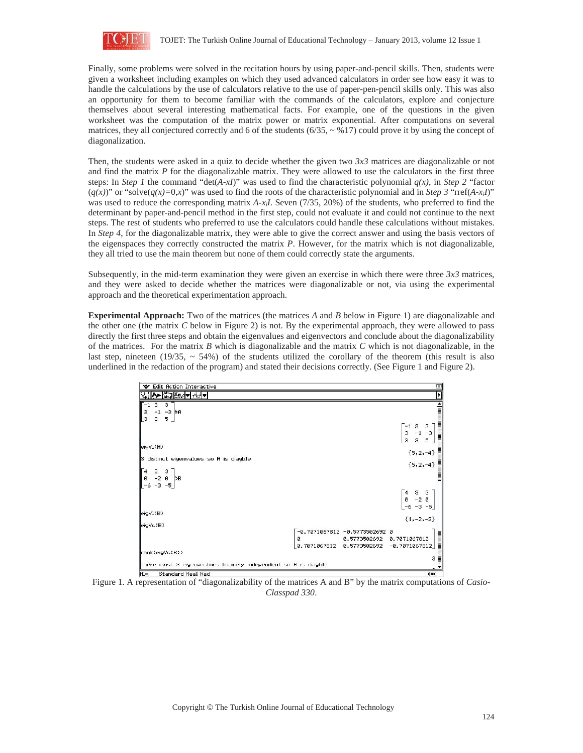

Finally, some problems were solved in the recitation hours by using paper-and-pencil skills. Then, students were given a worksheet including examples on which they used advanced calculators in order see how easy it was to handle the calculations by the use of calculators relative to the use of paper-pen-pencil skills only. This was also an opportunity for them to become familiar with the commands of the calculators, explore and conjecture themselves about several interesting mathematical facts. For example, one of the questions in the given worksheet was the computation of the matrix power or matrix exponential. After computations on several matrices, they all conjectured correctly and 6 of the students  $(6/35, \sim 9/17)$  could prove it by using the concept of diagonalization.

Then, the students were asked in a quiz to decide whether the given two *3x3* matrices are diagonalizable or not and find the matrix *P* for the diagonalizable matrix. They were allowed to use the calculators in the first three steps: In *Step 1* the command "det(*A-xI*)" was used to find the characteristic polynomial  $q(x)$ , in *Step 2* "factor"  $(q(x))$ " or "solve $(q(x)=0,x)$ " was used to find the roots of the characteristic polynomial and in *Step 3* "rref(*A-x<sub>i</sub>I*)" was used to reduce the corresponding matrix  $A-x_iI$ . Seven (7/35, 20%) of the students, who preferred to find the determinant by paper-and-pencil method in the first step, could not evaluate it and could not continue to the next steps. The rest of students who preferred to use the calculators could handle these calculations without mistakes. In *Step 4*, for the diagonalizable matrix, they were able to give the correct answer and using the basis vectors of the eigenspaces they correctly constructed the matrix *P*. However, for the matrix which is not diagonalizable, they all tried to use the main theorem but none of them could correctly state the arguments.

Subsequently, in the mid-term examination they were given an exercise in which there were three *3x3* matrices, and they were asked to decide whether the matrices were diagonalizable or not, via using the experimental approach and the theoretical experimentation approach.

**Experimental Approach:** Two of the matrices (the matrices *A* and *B* below in Figure 1) are diagonalizable and the other one (the matrix *C* below in Figure 2) is not. By the experimental approach, they were allowed to pass directly the first three steps and obtain the eigenvalues and eigenvectors and conclude about the diagonalizability of the matrices. For the matrix *B* which is diagonalizable and the matrix *C* which is not diagonalizable, in the last step, nineteen (19/35,  $\sim$  54%) of the students utilized the corollary of the theorem (this result is also underlined in the redaction of the program) and stated their decisions correctly. (See Figure 1 and Figure 2).

| V Edit Action Interactive                                              |              |                               | ïΧ                                                                      |
|------------------------------------------------------------------------|--------------|-------------------------------|-------------------------------------------------------------------------|
| <b>こうこう アンディー アンディー アンディー</b>                                          |              |                               | Þ                                                                       |
| э<br>з                                                                 |              |                               |                                                                         |
| -3 ban<br>3<br>$-1$                                                    |              |                               | <b>LEBBER</b>                                                           |
| $\overline{\phantom{a}}$<br>5.<br>3                                    |              |                               | 3<br>3                                                                  |
|                                                                        |              |                               | $-1$<br>-3<br>$-1$                                                      |
|                                                                        |              |                               | co co<br>$\overline{5}$<br>$\overline{\mathbf{3}}$                      |
| eigV1(A)                                                               |              |                               |                                                                         |
| 3 distinct eigenvalues so A is diagble                                 |              |                               | ${5, 2, -4}$                                                            |
|                                                                        |              |                               | ${5, 2, -4}$                                                            |
| $\begin{bmatrix} 3 & 3 \\ -2 & 0 \end{bmatrix}$ $\Rightarrow$ <b>B</b> |              |                               |                                                                         |
| ø                                                                      |              |                               |                                                                         |
| $-6 - 3$<br>-5]                                                        |              |                               |                                                                         |
|                                                                        |              |                               | з<br>3<br>$\overline{4}$                                                |
|                                                                        |              |                               | $\begin{bmatrix} 0 & -2 & 0 \\ -6 & -3 & -5 \end{bmatrix}$<br>{1,-2,-2} |
| eigV1(E)                                                               |              |                               |                                                                         |
|                                                                        |              |                               |                                                                         |
| eigVc(B)                                                               |              | -0.7071067812 -0.5773502692 0 |                                                                         |
|                                                                        | ø            | 0.5773502692                  | 0.7071067812                                                            |
|                                                                        | 0.7071067812 | 0.5773502692                  | $-0.7071067812$                                                         |
| rank(eigVc(B))                                                         |              |                               |                                                                         |
| there exist 3 eigenvectors linairely independent so B is diagble       |              |                               |                                                                         |
| <b>Standard Real Rad</b><br>Fûg                                        |              |                               | ता                                                                      |
|                                                                        |              |                               |                                                                         |

Figure 1. A representation of "diagonalizability of the matrices A and B" by the matrix computations of *Casio-Classpad 330*.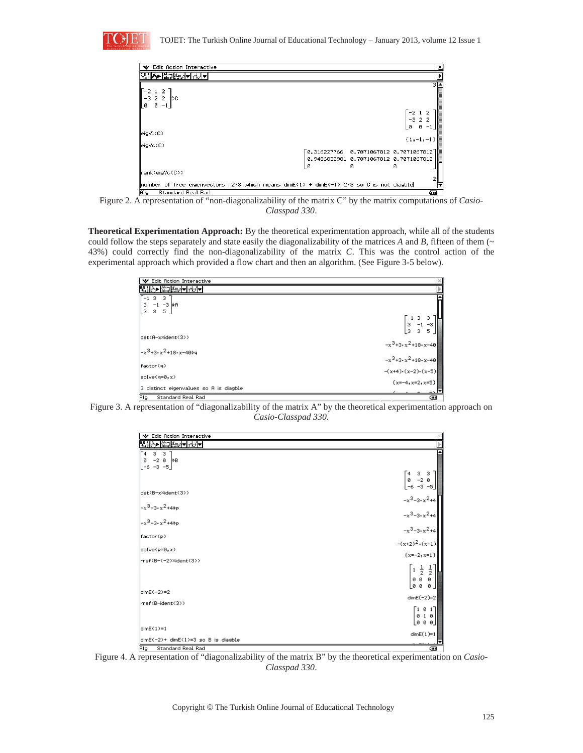

| Edit Action Interactive<br>v                                                                                                    |   |                                                                                                                     |   |                             | X                                                                                                                                                                                                                                                                                                                                                   |
|---------------------------------------------------------------------------------------------------------------------------------|---|---------------------------------------------------------------------------------------------------------------------|---|-----------------------------|-----------------------------------------------------------------------------------------------------------------------------------------------------------------------------------------------------------------------------------------------------------------------------------------------------------------------------------------------------|
|                                                                                                                                 |   |                                                                                                                     |   |                             | Þ                                                                                                                                                                                                                                                                                                                                                   |
| $\begin{bmatrix} -2 \\ -3 \\ 0 \end{bmatrix}$<br>$\overline{2}$<br>$-3$ 2 2<br>ÞС<br>ū<br>$^{-1}$                               |   |                                                                                                                     | ø | -212<br>$-3$ 2 2<br>$0 - 1$ | $\begin{picture}(20,10) \put(0,0){\line(1,0){10}} \put(15,0){\line(1,0){10}} \put(15,0){\line(1,0){10}} \put(15,0){\line(1,0){10}} \put(15,0){\line(1,0){10}} \put(15,0){\line(1,0){10}} \put(15,0){\line(1,0){10}} \put(15,0){\line(1,0){10}} \put(15,0){\line(1,0){10}} \put(15,0){\line(1,0){10}} \put(15,0){\line(1,0){10}} \put(15,0){\line(1$ |
| eigV1(C)                                                                                                                        |   |                                                                                                                     |   |                             |                                                                                                                                                                                                                                                                                                                                                     |
| leigVc(C)                                                                                                                       |   | $\begin{bmatrix} 0.316227766 & 0.7071067812 & 0.7071067812 \end{bmatrix}$<br>0.9486832981 0.7071067812 0.7071067812 |   | ${1, -1, -1}$               |                                                                                                                                                                                                                                                                                                                                                     |
| rank(eigVc(C))                                                                                                                  | ø | Й                                                                                                                   | Й |                             |                                                                                                                                                                                                                                                                                                                                                     |
| ${\sf number\ of\ free\ eigenvectors}$ =2*3 which means dimE(1) + dimE(-1)=2*3 so C is not diagble<br>Alg.<br>Standard Real Rad |   |                                                                                                                     |   | Œ                           |                                                                                                                                                                                                                                                                                                                                                     |

Figure 2. A representation of "non-diagonalizability of the matrix C" by the matrix computations of *Casio-Classpad 330*.

**Theoretical Experimentation Approach:** By the theoretical experimentation approach, while all of the students could follow the steps separately and state easily the diagonalizability of the matrices  $A$  and  $B$ , fifteen of them ( $\sim$ 43%) could correctly find the non-diagonalizability of the matrix *C*. This was the control action of the experimental approach which provided a flow chart and then an algorithm. (See Figure 3-5 below).

| <b>V</b> Edit Action Interactive                                                              | 図                                                                                            |
|-----------------------------------------------------------------------------------------------|----------------------------------------------------------------------------------------------|
| KHO KORA <del>M</del>                                                                         | ≽                                                                                            |
| 3<br>- 3 -<br>3 -1 -3 PR<br>$\frac{3}{2}$ 3 5                                                 | $-133$                                                                                       |
| lldet(A-x×ident(3))<br>$\mathbb{L}^{3}$ +3• $x^2$ +18• $x$ –40 $\rightarrow$ q                | $\begin{bmatrix} 3 & -1 & -3 \\ 3 & 3 & 5 \end{bmatrix}$<br>$-x^3+3 \cdot x^2+18 \cdot x-40$ |
| factor(q)                                                                                     | $-x^3+3 \cdot x^2+18 \cdot x-40$                                                             |
| $ $ solve(q=0,x)<br>3 distinct eigenvalues so A is diagble<br><b>Alg</b><br>Standard Real Rad | $-(x+4)\cdot(x-2)\cdot(x-5)$<br>{ $x=-4, x=2, x=5$ }<br>दम्म                                 |



| ₩ Edit Action Interactive                                                                                    |                                                                                         |
|--------------------------------------------------------------------------------------------------------------|-----------------------------------------------------------------------------------------|
|                                                                                                              |                                                                                         |
| $3 \quad 3$<br>`4<br>$-2$ 0 $\Rightarrow$ B<br>ø<br>$-6 -3 -5$                                               |                                                                                         |
|                                                                                                              | $\begin{bmatrix} 4 & 3 & 3 \\ 0 & -2 & 0 \\ -6 & -3 & -5 \end{bmatrix}$                 |
| ldet(B-x×ident(3))                                                                                           | $-x^3-3 \cdot x^2+4$                                                                    |
| $\begin{vmatrix} -x^3 - 3 \cdot x^2 + 4 \frac{1}{2} p \\ -x^3 - 3 \cdot x^2 + 4 \frac{1}{2} p \end{vmatrix}$ | $-x^3-3 \cdot x^2+4$<br>$-x^3-3 \cdot x^2+4$<br>$-(x+2)^2 \cdot (x-1)$                  |
| factor(p)                                                                                                    |                                                                                         |
| $ $ solve(p=0,x)                                                                                             | $\{x=-2, x=1\}$                                                                         |
| rref(B-(-2)×ident(3))                                                                                        |                                                                                         |
|                                                                                                              | $\begin{bmatrix} 1 & \frac{1}{2} & \frac{1}{2} \\ 0 & 0 & 0 \\ 0 & 0 & 0 \end{bmatrix}$ |
| $\mathsf{ldim} \mathsf{E}(-2)=2$                                                                             | $dimE(-2)=2$                                                                            |
| l rref(B-ident(3))                                                                                           | $\begin{bmatrix} 1 & 0 & 1 \\ 0 & 1 & 0 \end{bmatrix}$<br> 000                          |
| $ldimE(1)=1$<br>dimE(-2)+ dimE(1)=3 so B is diagble                                                          | $dimE(1)=1$                                                                             |
| Standard Real Rad<br>lAla l                                                                                  | टना                                                                                     |

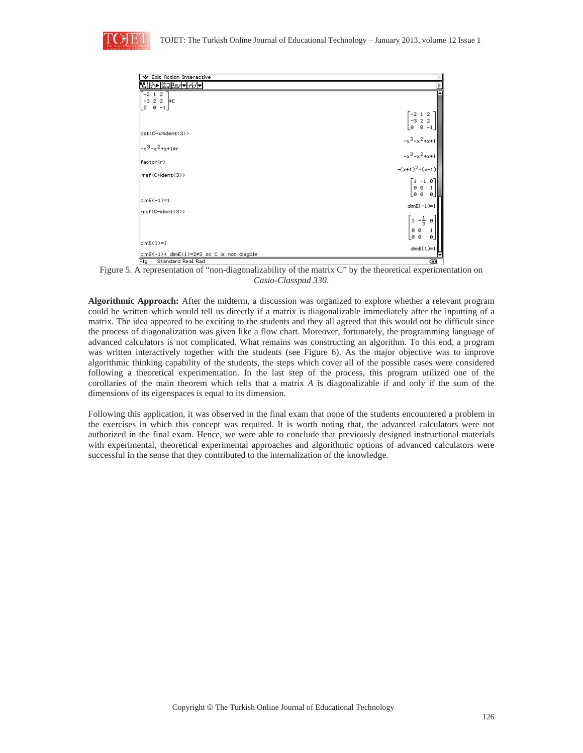

| V Edit Action Interactive                                             |                                                                      |
|-----------------------------------------------------------------------|----------------------------------------------------------------------|
| पीत•ा अध्यनस्त्रान                                                    |                                                                      |
| $-2$ 1 2                                                              |                                                                      |
| $-3$ 2 2 $\rightarrow$ C                                              |                                                                      |
| _0 0 −1_                                                              |                                                                      |
|                                                                       | $\begin{bmatrix} -2 & 1 & 2 \\ -3 & 2 & 2 \end{bmatrix}$             |
|                                                                       | ø ø-1                                                                |
| lldet(C-xXident(3))                                                   |                                                                      |
| l–x <sup>3</sup> –x <sup>2</sup> +x+1∌r                               |                                                                      |
|                                                                       | $-x^3-x^2+x+1$<br>$-x^3-x^2+x+1$<br>$-(x+1)^2 \cdot (x-1)$           |
| factor(r)                                                             |                                                                      |
| (rref(C+ident(3)                                                      |                                                                      |
|                                                                       | $\begin{bmatrix} 1 & -1 & 0 \\ 0 & 0 & 1 \\ 0 & 0 & 0 \end{bmatrix}$ |
|                                                                       |                                                                      |
| $ldimE(-1)=1$                                                         |                                                                      |
|                                                                       | $dimE(-1)=1$                                                         |
| llrref(C-ident(3))                                                    |                                                                      |
|                                                                       | $\begin{bmatrix} 1 & -\frac{1}{3} & \emptyset \end{bmatrix}$         |
|                                                                       | 00                                                                   |
| $ dimE(1)=1$                                                          | <b>00</b><br>ø.                                                      |
|                                                                       | $dimE(1)=1$                                                          |
| dimE(-1)+ dimE(1)=2≠3 so C is not diagble<br>Ala<br>Standard Real Rad | टना                                                                  |

Figure 5. A representation of "non-diagonalizability of the matrix C" by the theoretical experimentation on *Casio-Classpad 330*.

**Algorithmic Approach:** After the midterm, a discussion was organized to explore whether a relevant program could be written which would tell us directly if a matrix is diagonalizable immediately after the inputting of a matrix. The idea appeared to be exciting to the students and they all agreed that this would not be difficult since the process of diagonalization was given like a flow chart. Moreover, fortunately, the programming language of advanced calculators is not complicated. What remains was constructing an algorithm. To this end, a program was written interactively together with the students (see Figure 6). As the major objective was to improve algorithmic thinking capability of the students, the steps which cover all of the possible cases were considered following a theoretical experimentation. In the last step of the process, this program utilized one of the corollaries of the main theorem which tells that a matrix *A* is diagonalizable if and only if the sum of the dimensions of its eigenspaces is equal to its dimension.

Following this application, it was observed in the final exam that none of the students encountered a problem in the exercises in which this concept was required. It is worth noting that, the advanced calculators were not authorized in the final exam. Hence, we were able to conclude that previously designed instructional materials with experimental, theoretical experimental approaches and algorithmic options of advanced calculators were successful in the sense that they contributed to the internalization of the knowledge.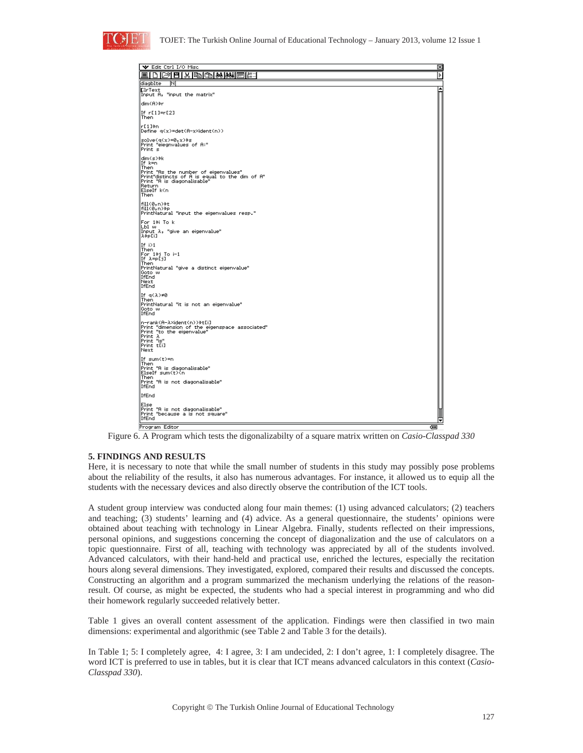

| V Edit Ctrl I/O Misc                                                                                                                                                                               | ⊠       |
|----------------------------------------------------------------------------------------------------------------------------------------------------------------------------------------------------|---------|
| 圃<br>ſ٩                                                                                                                                                                                            | ⋟       |
| diagblte<br>ΙN                                                                                                                                                                                     |         |
| <b>DirText</b><br>Input A, "input the matrix"                                                                                                                                                      |         |
| dim(A)\$r                                                                                                                                                                                          |         |
| If $r[1]=r[2]$<br>Then                                                                                                                                                                             |         |
| r[1]≑n<br>Define q(x)=det(A-x×ident(n))                                                                                                                                                            |         |
| $solve(q(x)=0, x)$<br>Print "elegnvalues of A:"<br>Print s                                                                                                                                         |         |
| dim(s)*k<br>If k=n<br>Then<br>Print "As the number of eigenvalues"<br>Print"distincts of A is equal to the dim of A"<br>Print "A is diagonalisable"<br>Return<br>ElseIf k <n<br><b>Then</b></n<br> |         |
| fill(0,n)>t<br>fill(0,n)>p<br>PrintNatural "input the eigenvalues resp."                                                                                                                           |         |
| For 1∌i To k<br>Lbl w<br>Input $\lambda$ , "give an eigenvalue"<br>λ∌p[i]                                                                                                                          |         |
| If $i>1$<br>Then<br>For 1∌j To i-1<br>If $\lambda = p[i]$<br>Then<br>PrintNatural "give a distinct eigenvalue"<br>Goto w<br>IfEnd<br>Next<br>IfEnd                                                 |         |
| If $q(\lambda) \neq 0$<br>Then<br>PrintNatural "it is not an eigenvalue"<br>Goto w<br>IfEnd                                                                                                        |         |
| n−rank(A−λ×ident(n))→t[i]<br>Print "dimension of the eigenspace associated"<br>Print "to the eigenvalue"<br> Print λ<br> Print "is"<br>Print t[i]<br>Next                                          |         |
| If sum(t)=n<br>Then<br>Print "A is diagonalisable"<br>ElseIf sum(t) <n<br>Then<br/>Print "A is not diagonalisable"<br/>IfEnd</n<br>                                                                |         |
| IfEnd                                                                                                                                                                                              |         |
| Else<br>Print "A is not diagonalisable"<br>Print "because a is not square"<br>IfEnd                                                                                                                |         |
| Program Editor                                                                                                                                                                                     | द्राप्त |

Figure 6. A Program which tests the digonalizabilty of a square matrix written on *Casio-Classpad 330*

# **5. FINDINGS AND RESULTS**

Here, it is necessary to note that while the small number of students in this study may possibly pose problems about the reliability of the results, it also has numerous advantages. For instance, it allowed us to equip all the students with the necessary devices and also directly observe the contribution of the ICT tools.

A student group interview was conducted along four main themes: (1) using advanced calculators; (2) teachers and teaching; (3) students' learning and (4) advice. As a general questionnaire, the students' opinions were obtained about teaching with technology in Linear Algebra. Finally, students reflected on their impressions, personal opinions, and suggestions concerning the concept of diagonalization and the use of calculators on a topic questionnaire. First of all, teaching with technology was appreciated by all of the students involved. Advanced calculators, with their hand-held and practical use, enriched the lectures, especially the recitation hours along several dimensions. They investigated, explored, compared their results and discussed the concepts. Constructing an algorithm and a program summarized the mechanism underlying the relations of the reasonresult. Of course, as might be expected, the students who had a special interest in programming and who did their homework regularly succeeded relatively better.

Table 1 gives an overall content assessment of the application. Findings were then classified in two main dimensions: experimental and algorithmic (see Table 2 and Table 3 for the details).

In Table 1; 5: I completely agree, 4: I agree, 3: I am undecided, 2: I don't agree, 1: I completely disagree. The word ICT is preferred to use in tables, but it is clear that ICT means advanced calculators in this context (*Casio-Classpad 330*).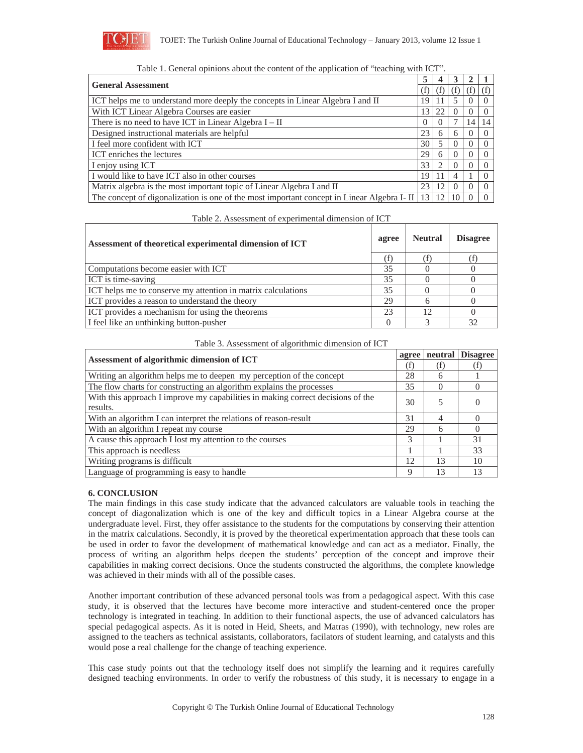

| <b>General Assessment</b>                                                                  |          |    |    |          |  |
|--------------------------------------------------------------------------------------------|----------|----|----|----------|--|
|                                                                                            |          |    | Ŧ  | T)       |  |
| ICT helps me to understand more deeply the concepts in Linear Algebra I and II             | 19       |    |    | $\theta$ |  |
| With ICT Linear Algebra Courses are easier                                                 | 13       | 22 |    |          |  |
| There is no need to have ICT in Linear Algebra $I - II$                                    | $\Omega$ |    |    | 14       |  |
| Designed instructional materials are helpful                                               | 23       | 6  | h  |          |  |
| I feel more confident with ICT                                                             | 30       |    |    |          |  |
| ICT enriches the lectures                                                                  | 29       | h  |    |          |  |
| I enjoy using ICT                                                                          | 33       |    |    |          |  |
| I would like to have ICT also in other courses                                             | 19       |    |    |          |  |
| Matrix algebra is the most important topic of Linear Algebra I and II                      | 23       | 12 |    |          |  |
| The concept of digonalization is one of the most important concept in Linear Algebra I- II | 13       | 12 | 10 |          |  |

| Table 1. General opinions about the content of the application of "teaching with ICT". |  |  |
|----------------------------------------------------------------------------------------|--|--|
|----------------------------------------------------------------------------------------|--|--|

Table 2. Assessment of experimental dimension of ICT

| Assessment of theoretical experimental dimension of ICT      |    | <b>Neutral</b> | <b>Disagree</b> |
|--------------------------------------------------------------|----|----------------|-----------------|
|                                                              |    |                |                 |
| Computations become easier with ICT                          | 35 |                |                 |
| <b>ICT</b> is time-saving                                    | 35 |                |                 |
| ICT helps me to conserve my attention in matrix calculations | 35 |                |                 |
| ICT provides a reason to understand the theory               | 29 |                |                 |
| ICT provides a mechanism for using the theorems              | 23 | 12             |                 |
| I feel like an unthinking button-pusher                      |    |                | 32              |

Table 3. Assessment of algorithmic dimension of ICT

| Assessment of algorithmic dimension of ICT                                      |               | agree    | neutral Disagree |
|---------------------------------------------------------------------------------|---------------|----------|------------------|
|                                                                                 |               | (f)      |                  |
| Writing an algorithm helps me to deepen my perception of the concept            | 28            | 6        |                  |
| The flow charts for constructing an algorithm explains the processes            | 35            | $\Omega$ |                  |
| With this approach I improve my capabilities in making correct decisions of the | 30            | 5        |                  |
| results.                                                                        |               |          |                  |
| With an algorithm I can interpret the relations of reason-result                | 31            | 4        |                  |
| With an algorithm I repeat my course                                            | 29            | 6        |                  |
| A cause this approach I lost my attention to the courses                        | $\mathcal{R}$ |          | 31               |
| This approach is needless                                                       |               |          | 33               |
| Writing programs is difficult                                                   | 12            | 13       | 10               |
| Language of programming is easy to handle                                       | Q             | 13       |                  |

# **6. CONCLUSION**

The main findings in this case study indicate that the advanced calculators are valuable tools in teaching the concept of diagonalization which is one of the key and difficult topics in a Linear Algebra course at the undergraduate level. First, they offer assistance to the students for the computations by conserving their attention in the matrix calculations. Secondly, it is proved by the theoretical experimentation approach that these tools can be used in order to favor the development of mathematical knowledge and can act as a mediator. Finally, the process of writing an algorithm helps deepen the students' perception of the concept and improve their capabilities in making correct decisions. Once the students constructed the algorithms, the complete knowledge was achieved in their minds with all of the possible cases.

Another important contribution of these advanced personal tools was from a pedagogical aspect. With this case study, it is observed that the lectures have become more interactive and student-centered once the proper technology is integrated in teaching. In addition to their functional aspects, the use of advanced calculators has special pedagogical aspects. As it is noted in Heid, Sheets, and Matras (1990), with technology, new roles are assigned to the teachers as technical assistants, collaborators, facilators of student learning, and catalysts and this would pose a real challenge for the change of teaching experience.

This case study points out that the technology itself does not simplify the learning and it requires carefully designed teaching environments. In order to verify the robustness of this study, it is necessary to engage in a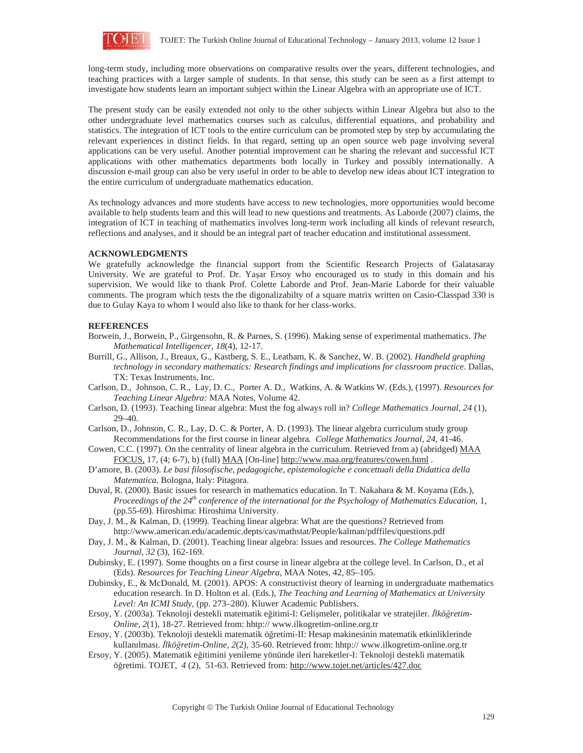

long-term study, including more observations on comparative results over the years, different technologies, and teaching practices with a larger sample of students. In that sense, this study can be seen as a first attempt to investigate how students learn an important subject within the Linear Algebra with an appropriate use of ICT.

The present study can be easily extended not only to the other subjects within Linear Algebra but also to the other undergraduate level mathematics courses such as calculus, differential equations, and probability and statistics. The integration of ICT tools to the entire curriculum can be promoted step by step by accumulating the relevant experiences in distinct fields. In that regard, setting up an open source web page involving several applications can be very useful. Another potential improvement can be sharing the relevant and successful ICT applications with other mathematics departments both locally in Turkey and possibly internationally. A discussion e-mail group can also be very useful in order to be able to develop new ideas about ICT integration to the entire curriculum of undergraduate mathematics education.

As technology advances and more students have access to new technologies, more opportunities would become available to help students learn and this will lead to new questions and treatments. As Laborde (2007) claims, the integration of ICT in teaching of mathematics involves long-term work including all kinds of relevant research, reflections and analyses, and it should be an integral part of teacher education and institutional assessment.

## **ACKNOWLEDGMENTS**

We gratefully acknowledge the financial support from the Scientific Research Projects of Galatasaray University. We are grateful to Prof. Dr. Yaşar Ersoy who encouraged us to study in this domain and his supervision. We would like to thank Prof. Colette Laborde and Prof. Jean-Marie Laborde for their valuable comments. The program which tests the the digonalizabilty of a square matrix written on Casio-Classpad 330 is due to Gulay Kaya to whom I would also like to thank for her class-works.

## **REFERENCES**

- Borwein, J., Borwein, P., Girgensohn, R. & Parnes, S. (1996). Making sense of experimental mathematics. *The Mathematical Intelligencer*, *18*(4), 12-17.
- Burrill, G., Allison, J., Breaux, G., Kastberg, S. E., Leatham, K. & Sanchez, W. B. (2002). *Handheld graphing technology in secondary mathematics: Research findings and implications for classroom practice*. Dallas, TX: Texas Instruments, Inc.
- Carlson, D., Johnson, C. R., Lay, D. C., Porter A. D., Watkins, A. & Watkins W. (Eds.), (1997). *Resources for Teaching Linear Algebra:* MAA Notes, Volume 42.
- Carlson, D. (1993). Teaching linear algebra: Must the fog always roll in? *College Mathematics Journal*, *24* (1), 29–40.
- Carlson, D., Johnson, C. R., Lay, D. C. & Porter, A. D. (1993). The linear algebra curriculum study group Recommendations for the first course in linear algebra*. College Mathematics Journal*, *24*, 41-46.
- Cowen, C.C. (1997). On the centrality of linear algebra in the curriculum. Retrieved from a) (abridged) MAA FOCUS, 17, (4; 6-7), b) (full) MAA [On-line] http://www.maa.org/features/cowen.html .
- D'amore, B. (2003). *Le basi filosofische, pedagogiche, epistemologiche e concettuali della Didattica della Matematica.* Bologna, Italy: Pitagora.
- Duval, R. (2000). Basic issues for research in mathematics education. In T. Nakahara & M. Koyama (Eds.), *Proceedings of the 24<sup>th</sup> conference of the international for the Psychology of Mathematics Education,* 1, (pp.55-69). Hiroshima: Hiroshima University.
- Day, J. M., & Kalman, D. (1999). Teaching linear algebra: What are the questions? Retrieved from http://www.american.edu/academic.depts/cas/mathstat/People/kalman/pdffiles/questions.pdf
- Day, J. M., & Kalman, D. (2001). Teaching linear algebra: Issues and resources. *The College Mathematics Journal*, *32* (3), 162-169.
- Dubinsky, E. (1997). Some thoughts on a first course in linear algebra at the college level. In Carlson, D., et al (Eds). *Resources for Teaching Linear Algebra,* MAA Notes, 42, 85–105.
- Dubinsky, E., & McDonald, M. (2001). APOS: A constructivist theory of learning in undergraduate mathematics education research. In D. Holton et al. (Eds.), *The Teaching and Learning of Mathematics at University Level: An ICMI Study,* (pp. 273–280). Kluwer Academic Publishers.
- Ersoy, Y. (2003a). Teknoloji destekli matematik eğitimi-I: Gelişmeler, politikalar ve stratejiler. *İlköğretim*-*Online, 2*(1), 18-27. Retrieved from: hhtp:// www.ilkogretim-online.org.tr
- Ersoy, Y. (2003b). Teknoloji destekli matematik öğretimi-II: Hesap makinesinin matematik etkinliklerinde kullanılması. *İlköğretim-Online*, 2(2), 35-60. Retrieved from: hhtp:// www.ilkogretim-online.org.tr
- Ersoy, Y. (2005). Matematik eğitimini yenileme yönünde ileri hareketler-I: Teknoloji destekli matematik öğretimi. TOJET, 4(2), 51-63. Retrieved from: http://www.tojet.net/articles/427.doc